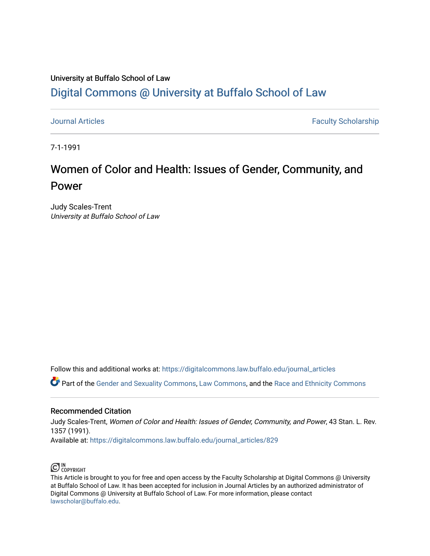## University at Buffalo School of Law [Digital Commons @ University at Buffalo School of Law](https://digitalcommons.law.buffalo.edu/)

[Journal Articles](https://digitalcommons.law.buffalo.edu/journal_articles) **Faculty Scholarship** 

7-1-1991

# Women of Color and Health: Issues of Gender, Community, and Power

Judy Scales-Trent University at Buffalo School of Law

Follow this and additional works at: [https://digitalcommons.law.buffalo.edu/journal\\_articles](https://digitalcommons.law.buffalo.edu/journal_articles?utm_source=digitalcommons.law.buffalo.edu%2Fjournal_articles%2F829&utm_medium=PDF&utm_campaign=PDFCoverPages) 

Part of the [Gender and Sexuality Commons](http://network.bepress.com/hgg/discipline/420?utm_source=digitalcommons.law.buffalo.edu%2Fjournal_articles%2F829&utm_medium=PDF&utm_campaign=PDFCoverPages), [Law Commons,](http://network.bepress.com/hgg/discipline/578?utm_source=digitalcommons.law.buffalo.edu%2Fjournal_articles%2F829&utm_medium=PDF&utm_campaign=PDFCoverPages) and the [Race and Ethnicity Commons](http://network.bepress.com/hgg/discipline/426?utm_source=digitalcommons.law.buffalo.edu%2Fjournal_articles%2F829&utm_medium=PDF&utm_campaign=PDFCoverPages)

## Recommended Citation

Judy Scales-Trent, Women of Color and Health: Issues of Gender, Community, and Power, 43 Stan. L. Rev. 1357 (1991).

Available at: [https://digitalcommons.law.buffalo.edu/journal\\_articles/829](https://digitalcommons.law.buffalo.edu/journal_articles/829?utm_source=digitalcommons.law.buffalo.edu%2Fjournal_articles%2F829&utm_medium=PDF&utm_campaign=PDFCoverPages)



This Article is brought to you for free and open access by the Faculty Scholarship at Digital Commons @ University at Buffalo School of Law. It has been accepted for inclusion in Journal Articles by an authorized administrator of Digital Commons @ University at Buffalo School of Law. For more information, please contact [lawscholar@buffalo.edu](mailto:lawscholar@buffalo.edu).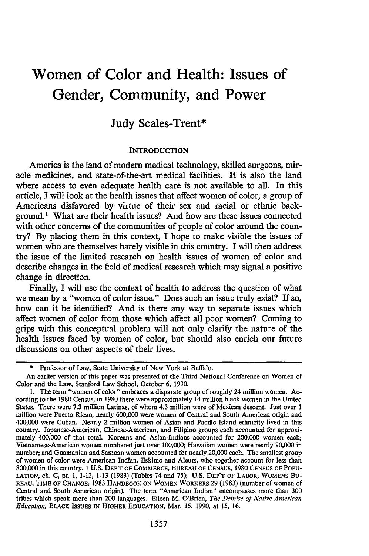## **Women of Color and Health: Issues of Gender, Community, and Power**

## Judy Scales-Trent\*

#### **INTRODUCTION**

America is the land of modem medical technology, skilled surgeons, miracle medicines, and state-of-the-art medical facilities. It is also the land where access to even adequate health care is not available to all. In this article, I will look at the health issues that affect women of color, a group of Americans disfavored by virtue of their sex and racial or ethnic background.I What are their health issues? And how are these issues connected with other concerns of the communities of people of color around the country? **By** placing them in this context, I hope to make visible the issues of women who are themselves barely visible in this country. I will then address the issue of the limited research on health issues of women of color and describe changes in the field of medical research which may signal a positive change in direction.

Finally, I will use the context of health to address the question of what we mean **by** a "women of color issue." Does such an issue truly exist? If so, how can it be identified? And is there any way to separate issues which affect women of color from those which affect all poor women? Coming to grips with this conceptual problem will not only clarify the nature of the health issues faced **by** women of color, but should also enrich our future discussions on other aspects of their lives.

<sup>\*</sup> Professor of Law, State University of New York at Buffalo.

An earlier version of this paper was presented at the Third National Conference on Women of Color and the Law, Stanford Law School, October 6, 1990.

<sup>1.</sup> The term "women of color" embraces a disparate group of roughly 24 million women. According to the 1980 Census, in 1980 there were approximately 14 million black women in the United States. There were 7.3 million Latinas, of whom 4.3 million were of Mexican descent. Just over I million were Puerto Rican, nearly 600,000 were women of Central and South American origin and 400,000 were Cuban. Nearly 2 million women of Asian and Pacific Island ethnicity lived in this country. Japanese-American, Chinese-American, and Filipino groups each accounted for approximately 400,000 of that total. Koreans and Asian-Indians accounted for 200,000 women each; Vietnamese-American women numbered just over 100,000; Hawaiian women were nearly 90,000 in number; and Guamanian and Samoan women accounted for nearly 20,000 each. The smallest group of women of color were American Indian, Eskimo and Aleuts, who together account for less than **800,000** in this country. **1 U.S. DEP'T** OF **COMMERCE, BUREAU OF CENSUS,** 1980 **CENSUS OF POPU-LATION,** ch. **C,** pt. **1,** 1-12, **1-13 (1983)** (Tables 74 and 75); **U.S.** DEP'T OF LABOR, **WOMENs** BU-REAU, TIME **OF CHANGE: 1983 HANDBOOK ON WOMEN VORKERS 29 (1983)** (number of women of Central and South American origin). The term "American Indian" encompasses more than **300** tribes which speak more than 200 languages. Eileen M. O'Brien, *The Demise of Native American Education,* **BLACK ISSUES IN HIGHER EDUCATION,** Mar. **15, 1990,** at **15, 16.**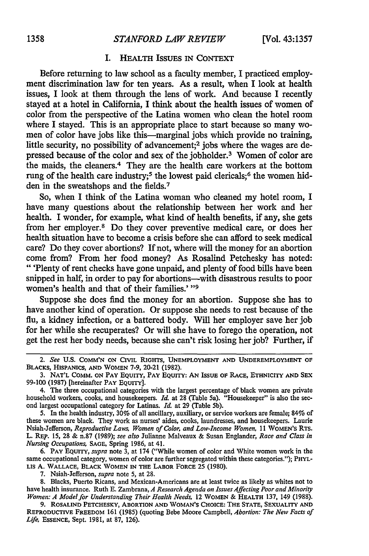### *STANFORD LAW REVIEW* **1358 [Vol. 43:1357**

#### I. HEALTH **ISSUES** IN **CONTEXT**

Before returning to law school as a faculty member, I practiced employment discrimination law for ten years. As a result, when I look at health issues, I look at them through the lens of work. And because I recently stayed at a hotel in California, I think about the health issues of women of color from the perspective of the Latina women who clean the hotel room where I stayed. This is an appropriate place to start because so many women of color have jobs like this—marginal jobs which provide no training, little security, no possibility of advancement;2 jobs where the wages are depressed because of the color and sex of the jobholder.3 Women of color are the maids, the cleaners.<sup>4</sup> They are the health care workers at the bottom rung of the health care industry;<sup>5</sup> the lowest paid clericals;<sup>6</sup> the women hidden in the sweatshops and the fields.<sup>7</sup>

So, when I think of the Latina woman who cleaned my hotel room, I have many questions about the relationship between her work and her health. I wonder, for example, what kind of health benefits, if any, she gets from her employer.8 Do they cover preventive medical care, or does her health situation have to become a crisis before she can afford to seek medical care? Do they cover abortions? If not, where will the money for an abortion come from? From her food money? As Rosalind Petchesky has noted: "'Plenty of rent checks have gone unpaid, and plenty of food bills have been snipped in half, in order to pay for abortions-with disastrous results to poor women's health and that of their families.' "9

Suppose she does find the money for an abortion. Suppose she has to have another kind of operation. Or suppose she needs to rest because of the flu, a kidney infection, or a battered body. Will her employer save her job for her while she recuperates? Or will she have to forego the operation, not get the rest her body needs, because she can't risk losing her job? Further, if

**6.** PAY EQUITY, *supra* note 3, at 174 ("While women of color and White women work in the same occupational category, women of color are further segregated within these categories."); **PHYL-LIS A. WALLACE, BLACK WOMEN IN THE LABOR FORCE 25** (1980).

**7.** Nsiah-Jefferson, *supra* note **5,** at **28.**

**8.** Blacks, Puerto Ricans, and Mexican-Americans are at least twice as likely as whites not to have health insurance. Ruth **E.** Zambrana, *A Research Agenda on Issues Affecting Poor and Minority Women: A Model for Understanding Their Health Needs,* <sup>12</sup>**WOMEN** & **HEALTH 137,** 149 **(1988).**

**9. ROSALIND PETCHESKY, ABORTION AND WOMAN'S CHOICE: THE STATE, SEXUALITY AND REPRODUCTIVE FREEDOM** 161 (1985) (quoting Bebe Moore Campbell, *Abortion: The New Facts of* Life, **ESSENCE,** Sept. 1981, at 87, 126).

*<sup>2.</sup> See* **U.S. COMM'N ON CIVIL RIGHTS, UNEMPLOYMENT AND UNDEREMPLOYMENT OF** BLACKS, **HISPANICS, AND WOMEN 7-9,** 20-21 (1982).

**<sup>3.</sup> NAT'L** COMM. **ON PAY** EQUITY, **PAY EQUITY: AN ISSUE** OF RACE, **ETHNICITY AND SEX** 99-100 (1987) [hereinafter **PAY EQUITY].**

<sup>4.</sup> The three occupational categories with the largest percentage of black women are private household workers, cooks, and housekeepers. *Id.* at 28 (Table 5a). "Housekeeper" is also the second largest occupational category for Latinas. *Id.* at 29 (Table **5b).**

**<sup>5.</sup>** In the health industry, 30% of all ancillary, auxiliary, or service workers are female; 84% of these women are black. They work as nurses' aides, cooks, laundresses, and housekeepers. Laurie Nsiah-Jefferson, *Reproductive Laws, Women of Color, and Low-Income Women,* 11 WOMEN'S RTS. L. **REP. 15,** 28 & n.87 (1989); *see also* Julianne Malveaux & Susan Englander, *Race and Class in Nursing Occupations,* **SAGE,** Spring 1986, at 41.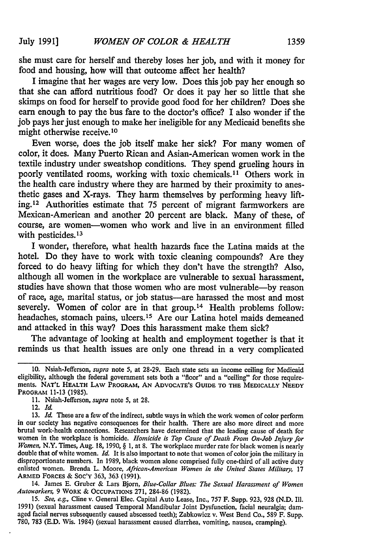she must care for herself and thereby loses her job, and with it money for food and housing, how will that outcome affect her health?

I imagine that her wages are very low. Does this job pay her enough so that she can afford nutritious food? Or does it pay her so little that she skimps on food for herself to provide good food for her children? Does she earn enough to pay the bus fare to the doctor's office? I also wonder if the job pays her just enough to make her ineligible for any Medicaid benefits she might otherwise receive.10

Even worse, does the job itself make her sick? For many women of color, it does. Many Puerto Rican and Asian-American women work in the textile industry under sweatshop conditions. They spend grueling hours in poorly ventilated rooms, working with toxic chemicals.<sup>11</sup> Others work in the health care industry where they are harmed by their proximity to anesthetic gases and X-rays. They harm themselves by performing heavy lifting. 12 Authorities estimate that 75 percent of migrant farmworkers are Mexican-American and another 20 percent are black. Many of these, of course, are women-women who work and live in an environment filled with pesticides.<sup>13</sup>

I wonder, therefore, what health hazards face the Latina maids at the hotel. Do they have to work with toxic cleaning compounds? Are they forced to do heavy lifting for which they don't have the strength? Also, although all women in the workplace are vulnerable to sexual harassment, studies have shown that those women who are most vulnerable-by reason of race, age, marital status, or job status-are harassed the most and most severely. Women of color are in that group.<sup>14</sup> Health problems follow: headaches, stomach pains, ulcers. 15 Are our Latina hotel maids demeaned and attacked in this way? Does this harassment make them sick?

The advantage of looking at health and employment together is that it reminds us that health issues are only one thread in a very complicated

14. James **E.** Gruber & Lars Bjorn, *Blue-Collar Blues: The Sexual Harassment of Women Autoworkers,* 9 WORK & OCCUPATIONS 271, 284-86 (1982).

15. *See, eg.,* Cline v. General Elec. Capital Auto Lease, Inc., **757** F. Supp. 923, 928 (N.D. Ill. 1991) (sexual harassment caused Temporal Mandibular Joint Dysfunction, facial neuralgia; damaged facial nerves subsequently caused abscessed teeth); Zabkowicz v. West Bend Co., 589 F. Supp. **780, 783 (E.D.** Wis. 1984) (sexual harassment caused diarrhea, vomiting, nausea, cramping).

**<sup>10.</sup>** Nsiah-Jefferson, *supra* note 5, at 28-29. Each state sets an income ceiling for Medicaid eligibility, although the federal government sets both a "floor" and a "ceiling" for those requirements. **NAT'L** HEALTH LAW PROGRAM, **AN** ADVOCATE'S **GUIDE** TO THE MEDICALLY NEEDY PROGRAM **11-13** (1985).

**<sup>11.</sup>** Nsiah-Jefferson, *supra* note 5, at 28.

<sup>12.</sup> *Id.*

**<sup>13.</sup>** *Id.* These are a few of the indirect, subtle ways in which the work women of color perform in our society has negative consequences for their health. There are also more direct and more brutal work-health connections. Researchers have determined that the leading cause of death for women in the workplace is homic *Women,* N.Y. Times, Aug. 18, 1990, § 1, at 8. The workplace murder rate for black women is nearly double that of white women. *Id.* It is also important to note that women of color join the military in disproportionate numbers. In 1989, black women alone comprised fully one-third of all active duty enlisted women. Brenda L. Moore, *African-American Women in the United States Military,* 17 **ARMED FORCES** & **Soc'Y 363, 363** (1991).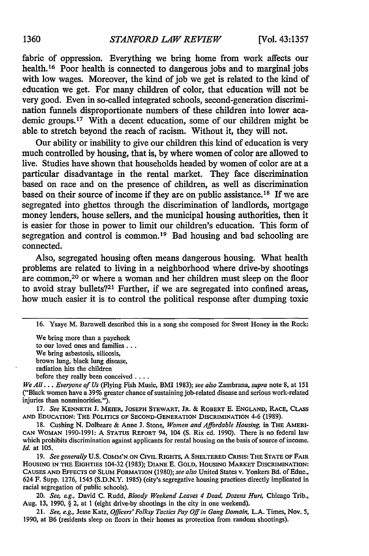fabric of oppression. Everything we bring home from work affects our health. 16 Poor health is connected to dangerous jobs and to marginal jobs with low wages. Moreover, the kind of job we get is related to the kind of education we get. For many children of color, that education will not be very good. Even in so-called integrated schools, second-generation discrimination funnels disproportionate numbers of these children into lower academic groups. 17 With a decent education, some of our children might be able to stretch beyond the reach of racism. Without it, they will not.

Our ability or inability to give our children this kind of education is very much controlled by housing, that is, by where women of color are allowed to live. Studies have shown that households headed by women of color are at a particular disadvantage in the rental market. They face discrimination based on race and on the presence of children, as well as discrimination based on their source of income if they are on public assistance.<sup>18</sup> If we are segregated into ghettos through the discrimination of landlords, mortgage money lenders, house sellers, and the municipal housing authorities, then it is easier for those in power to limit our children's education. This form of segregation and control is common.<sup>19</sup> Bad housing and bad schooling are connected.

Also, segregated housing often means dangerous housing. What health problems are related to living in a neighborhood where drive-by shootings are common,<sup>20</sup> or where a woman and her children must sleep on the floor to avoid stray bullets?<sup>21</sup> Further, if we are segregated into confined areas, how much easier it is to control the political response after dumping toxic

We bring more than a paycheck to our loved ones and families... We bring asbestosis, silicosis, brown lung, black lung disease, radiation hits the children before they really been conceived **....**

*We All... Everyone of Us* (Flying Fish Music, BMI 1983); *see also* Zambrana, *supra* note 8, at **<sup>151</sup>** ("Black women have a 39% greater chance of sustaining job-related disease and serious work-related injuries than nonminorities.").

**17.** *See* **KENNETH J. MEIER, JOSEPH STEWART, JR. &** ROBERT E. **ENGLAND,** RACE, **CLASS AND EDUCATION:** THE POLITICS OF **SECOND-GENERATION** DISCRIMINATION 4-6 (1989).

**18.** Cushing **N.** Dolbeare **&** Anne **J.** Stone, *Women and Affordable Housing,* in THE AMERI-**CAN** WOMAN **1990-1991:** A STATUS REPORT 94, 104 **(S.** Rix ed. **1990).** There is no federal law which prohibits discrimination against applicants for rental housing on the basis of source of income. *Id.* at 105.

19. *See generally* U.S. **COMM'N ON** CIVIL RIGHTS, A SHELTERED CRISIS: THE **STATE** OF FAIR HOUSING IN THE EIGHTIES 104-32 (1983); **DIANE** E. GOLD, HOUSING MARKET DISCRIMINATION: CAUSES **AND** EFFECTS OF SLUM FORMATION (1980); *see also* United States v. Yonkers Bd. of Educ., 624 F. Supp. 1276, 1545 (S.D.N.Y. 1985) (city's segregative housing practices directly implicated in racial segregation of public schools).

20. *See, e.g.,* David C. Rudd, *Bloody Weekend Leaves 4 Dead, Dozens Hurt,* Chicago Trib., Aug. 13, 1990,  $\S 2$ , at 1 (eight drive-by shootings in the city in one weekend).

21. *See, e.g.,* Jesse Katz, *Officers' Folksy Tactics Pay Off in Gang Domain,* L.A. Times, Nov. 5, 1990, at B6 (residents sleep on floors in their homes as protection from random shootings).

<sup>16.</sup> Ysaye M. Barnwell described this in a song she composed for Sweet Honey in the Rock: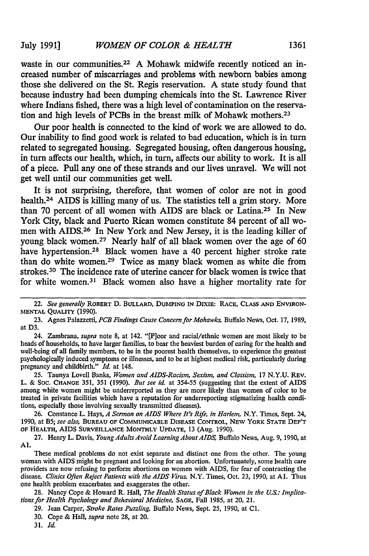waste in our communities.<sup>22</sup> A Mohawk midwife recently noticed an increased number of miscarriages and problems with newborn babies among those she delivered on the St. Regis reservation. A state study found that because industry had been dumping chemicals into the St. Lawrence River where Indians fished, there was a high level of contamination on the reservation and high levels of PCBs in the breast milk of Mohawk mothers.<sup>23</sup>

Our poor health is connected to the kind of work we are allowed to do. Our inability to find good work is related to bad education, which is in turn related to segregated housing. Segregated housing, often dangerous housing, in turn affects our health, which, in turn, affects our ability to work. It is all of a piece. Pull any one of these strands and our lives unravel. We will not get well until our communities get well.

It is not surprising, therefore, that women of color are not in good health.<sup>24</sup> AIDS is killing many of us. The statistics tell a grim story. More than 70 percent of all women with AIDS are black or Latina.25 In New York City, black and Puerto Rican women constitute 84 percent of all women with AIDS.26 In New York and New Jersey, it is the leading killer of young black women.27 Nearly half of all black women over the age of 60 have hypertension.<sup>28</sup> Black women have a 40 percent higher stroke rate than do white women. 29 Twice as many black women as white die from strokes.30 The incidence rate of uterine cancer for black women is twice that for white women. 31 Black women also have a higher mortality rate for

**25.** Taunya Lovell Banks, *Women and AIDS-Racism, Sexism, and Classism,* **17 N.Y.U.** REV. L. & Soc. **CHANGE** 351, 351 (1990). *But see id.* at 354-55 (suggesting that the extent of AIDS among white women might be underreported as they are more likely than women of color to be treated in private facilities which have a reputation for underreporting stigmatizing health conditions, especially those involving sexually transmitted diseases).

26. Constance L. Hays, *A Sermon on AIDS Where It's Rife, in Harlem,* N.Y. Times, Sept. 24, **1990,** at **B5;** *see also,* **BUREAU OF COMMUNICABLE DISEASE CONTROL, NEW YORK STATE DEP'T OF HEALTH, AIDS SURVEILLANCE MONTHLY UPDATE, 13** (Aug. **1990).**

27. Henry L. Davis, *Young Adults Avoid Learning About AIDS*, Buffalo News, Aug. 9, 1990, at **Al.**

These medical problems do not exist separate and distinct one from the other. The young woman with **AIDS** might be pregnant and looking for an abortion. Unfortunately, some health care providers are now refusing to perform abortions on women with AIDS, for fear of contracting the disease. *Clinics Often Reject Patients with the AIDS Virus,* N.Y. Times, Oct. 23, 1990, at **Al.** Thus one health problem exacerbates and exaggerates the other.

*28,* Nancy Cope & Howard R. Hall, *The Health Status of Black Women in the U.S.: Implications for Health Psychology and Behavioral Medicine,* **SAGE,** Fall 1985, at 20, 21.

**29.** Jean Carper, *Stroke Rates Puzzling,* Buffalo News, Sept. 25, 1990, at **Cl.**

<sup>22.</sup> *See generally* **ROBERT D. BULLARD, DUMPING** IN DIXIE: RACE, **CLASS AND** ENVIRON-MENTAL QUALITY (1990).

**<sup>23.</sup>** Agnes Palazzetti, *PCB Findings Cause Concern for Mohawks,* Buffalo News, Oct. 17, 1989, at **D3.**

<sup>24.</sup> Zambrana, *supra* note 8, at 142. "[P]oor and racial/ethnic women are most likely to be heads of households, to have larger families, to bear the heaviest burden of caring for the health and well-being of all family members, to be in the poorest health themselves, to experience the greatest psychologically induced symptoms or illnesses, and to be at highest medical risk, particularly during pregnancy and childbirth." *Id.* at 148.

<sup>30.</sup> Cope & Hall, *supra* note 28, at 20.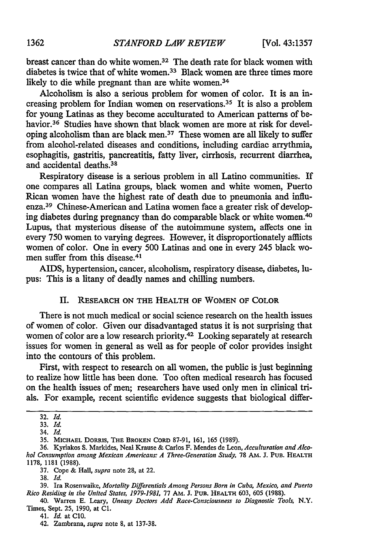breast cancer than do white women.32 The death rate for black women with diabetes is twice that of white women.33 Black women are three times more likely to die while pregnant than are white women.<sup>34</sup>

Alcoholism is also a serious problem for women of color. It is an increasing problem for Indian women on reservations.<sup>35</sup> It is also a problem for young Latinas as they become acculturated to American patterns of behavior.<sup>36</sup> Studies have shown that black women are more at risk for developing alcoholism than are black men.<sup>37</sup> These women are all likely to suffer from alcohol-related diseases and conditions, including cardiac arrythmia, esophagitis, gastritis, pancreatitis, fatty liver, cirrhosis, recurrent diarrhea, and accidental deaths.<sup>38</sup>

Respiratory disease is a serious problem in all Latino communities. If one compares all Latina groups, black women and white women, Puerto Rican women have the highest rate of death due to pneumonia and influenza.39 Chinese-American and Latina women face a greater risk of developing diabetes during pregnancy than do comparable black or white women.<sup>40</sup> Lupus, that mysterious disease of the autoimmune system, affects one in every 750 women to varying degrees. However, it disproportionately afflicts women of color. One in every 500 Latinas and one in every 245 black women suffer from this disease.<sup>41</sup>

AIDS, hypertension, cancer, alcoholism, respiratory disease, diabetes, lupus: This is a litany of deadly names and chilling numbers.

#### II. **RESEARCH ON THE HEALTH OF** WOMEN **OF COLOR**

There is not much medical or social science research on the health issues of women of color. Given our disadvantaged status it is not surprising that women of color are a low research priority.<sup>42</sup> Looking separately at research issues for women in general as well as for people of color provides insight into the contours of this problem.

First, with respect to research on all women, the public is just beginning to realize how little has been done. Too often medical research has focused on the health issues of men; researchers have used only men in clinical trials. For example, recent scientific evidence suggests that biological differ-

41. *Id.* at **Clo.**

<sup>32.</sup> *Id.*

<sup>33.</sup> *Id.*

<sup>34.</sup> *Id.*

<sup>35.</sup> **MICHAEL** DORRIS, THE BROKEN CORD 87-91, 161, 165 **(1989).**

<sup>36.</sup> Kyriakos S. Markides, Neal Krause & Carlos F. Mendes de Leon, *Acculturation and Alo*hol Consumption among Mexican Americans: A Three-Generation Study, 78 AM. J. PUB. HEALTH 1178, 1181 (1988).

<sup>37.</sup> Cope & Hall, *supra* note 28, at 22.

<sup>38.</sup> *Id.*

<sup>39.</sup> Ira Rosenwaike, *Mortality Differentials Among Persons Born in Cuba, Mexico, and Puerto Rico Residing in the United States, 1979-1981.* 77 AM. J. PUB. HEALTH 603, **605** (1988).

<sup>40.</sup> Warren E. Leary, *Uneasy Doctors Add Race-Consciousness to Diagnostic Tools,* N.Y. Times, Sept. 25, 1990, at **Cl.**

<sup>42.</sup> Zambrana, *supra* note **8,** at 137-38.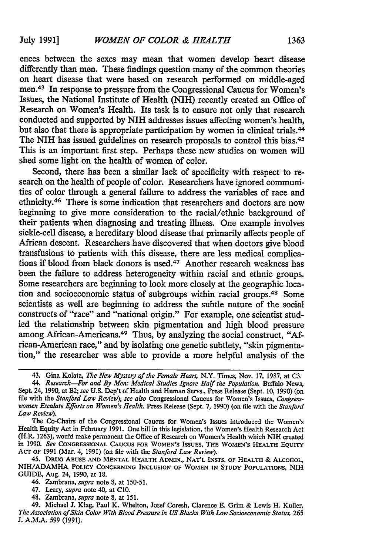ences between the sexes may mean that women develop heart disease differently than men. These findings question many of the common theories on heart disease that were based on research performed on middle-aged men.43 In response to pressure from the Congressional Caucus for Women's Issues, the National Institute of Health (NIH) recently created an Office of Research on Women's Health. Its task is to ensure not only that research conducted and supported by NIH addresses issues affecting women's health, but also that there is appropriate participation by women in clinical trials.<sup>44</sup> The NIH has issued guidelines on research proposals to control this bias.<sup>45</sup> This is an important first step. Perhaps these new studies on women will shed some light on the health of women of color.

Second, there has been a similar lack of specificity with respect to research on the health of people of color. Researchers have ignored communities of color through a general failure to address the variables of race and ethnicity. 46 There is some indication that researchers and doctors are now beginning to give more consideration to the racial/ethnic background of their patients when diagnosing and treating illness. One example involves sickle-cell disease, a hereditary blood disease that primarily affects people of African descent. Researchers have discovered that when doctors give blood transfusions to patients with this disease, there are less medical complications if blood from black donors is used.<sup>47</sup> Another research weakness has been the failure to address heterogeneity within racial and ethnic groups. Some researchers are beginning to look more closely at the geographic location and socioeconomic status of subgroups within racial groups.48 Some scientists as well are beginning to address the subtle nature of the social constructs of "race" and "national origin." For example, one scientist studied the relationship between skin pigmentation and high blood pressure among African-Americans. 49 Thus, by analyzing the social construct, "African-American race," and by isolating one genetic subtlety, "skin pigmentation," the researcher was able to provide a more helpful analysis of the

- 47. Leary, *supra* note 40, at **ClO.**
- 48. **Zambrana,** *supra* note **8,** at **151.**

49. **Michael J.** Klag, Paul K. **Whelton, Josef Coresh, Clarence E.** Grim & **Lewis** H. **Kuller,** *The Association of Skin Color With Blood Pressure in US Blacks With Low Socioeconomic Status,* 265 J. A.M.A. 599 (1991).

<sup>43.</sup> Gina Kolata, *The New Mystery of the Female Heart,* N.Y. Times, Nov. 17, 1987, at C3.

*<sup>44.</sup> Research-For and By Men: Medical Studies Ignore Half the Population,* Buffalo News, Sept. 24, 1990, at B2; *see* U.S. Dep't of Health and Human Servs., Press Release (Sept. 10, 1990) (on file with the *Stanford Law Review); see also* Congressional Caucus for Women's Issues, *Congress- women Escalate Efforts on Women's Health,* Press Release (Sept. 7, 1990) (on file with the *Stanford Law Review).*

The Co-Chairs of the Congressional Caucus for Women's Issues introduced the Women's Health Equity Act in February 1991. One bill in this legislation, the Women's Health Research Act (H.R. 1263), would make permanent the Office of Research on Women's Health which NIH created in 1990. *See* **CONGRESSIONAL CAUCUS FOR WOMEN'S ISSUES, THE WOMEN'S HEALTH EQUITY** ACT OF **1991** (Mar. 4, **1991)** (on file with the *Stanford Law Review).*

<sup>45.</sup> **DRUG ABUSE AND MENTAL HEALTH ADMIN., NAT'L INSTS. OF HEALTH** & **ALCOHOL,** NIH/ADAMHA **POLICY CONCERNING INCLUSION OF WOMEN IN STUDY POPULATIONS,** NIH **GUIDE,** Aug. 24, **1990,** at **18.**

<sup>46.</sup> Zambrana, *supra* note **8,** at **150-51.**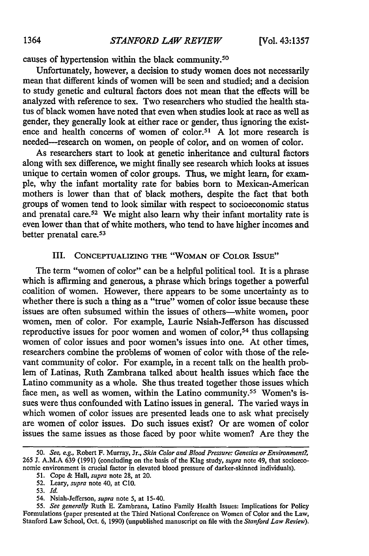causes of hypertension within the black community.50

Unfortunately, however, a decision to study women does not necessarily mean that different kinds of women will be seen and studied; and a decision to study genetic and cultural factors does not mean that the effects will be analyzed with reference to sex. Two researchers who studied the health status of black women have noted that even when studies look at race as well as gender, they generally look at either race or gender, thus ignoring the existence and health concerns of women of color.<sup>51</sup> A lot more research is needed-research on women, on people of color, and on women of color.

As researchers start to look at genetic inheritance and cultural factors along with sex difference, we might finally see research which looks at issues unique to certain women of color groups. Thus, we might learn, for example, why the infant mortality rate for babies born to Mexican-American mothers is lower than that of black mothers, despite the fact that both groups of women tend to look similar with respect to socioeconomic status and prenatal care.<sup>52</sup> We might also learn why their infant mortality rate is even lower than that of white mothers, who tend to have higher incomes and better prenatal care.<sup>53</sup>

### III. CONCEPTUALIZING THE "WOMAN OF COLOR ISSUE"

The term "women of color" can be a helpful political tool. It is a phrase which is affirming and generous, a phrase which brings together a powerful coalition of women. However, there appears to be some uncertainty as to whether there is such a thing as a "true" women of color issue because these issues are often subsumed within the issues of others-white women, poor women, men of color. For example, Laurie Nsiah-Jefferson has discussed reproductive issues for poor women and women of color,<sup>54</sup> thus collapsing women of color issues and poor women's issues into one. At other times, researchers combine the problems of women of color with those of the relevant community of color. For example, in a recent talk on the health problem of Latinas, Ruth Zambrana talked about health issues which face the Latino community as a whole. She thus treated together those issues which face men, as well as women, within the Latino community.<sup>55</sup> Women's issues were thus confounded with Latino issues in general. The varied ways in which women of color issues are presented leads one to ask what precisely are women of color issues. Do such issues exist? Or are women of color issues the same issues as those faced by poor white women? Are they the

<sup>50.</sup> *See,* e.g., Robert F. Murray, Jr., *Skin Color and Blood Pressure: Genetics or Environment?,* 265 **J.** A.M.A 639 (1991) (concluding on the basis of the Klag study, *supra* note 49, that socioeconomic environment is crucial factor in elevated blood pressure of darker-skinned individuals).

<sup>51.</sup> Cope & Hall, *supra* note 28, at 20.

<sup>52.</sup> Leary, *supra* note 40, at **CIO.**

<sup>53.</sup> *Id.*

<sup>54.</sup> Nsiah-Jefferson, *supra* note 5, at 15-40.

*<sup>55.</sup> See generally* Ruth E. Zambrana, Latino Family Health Issues: Implications for Policy Formulations (paper presented at the Third National Conference on Women of Color and the Law, Stanford Law School, Oct. 6, 1990) (unpublished manuscript on file with the *Stanford Law Review).*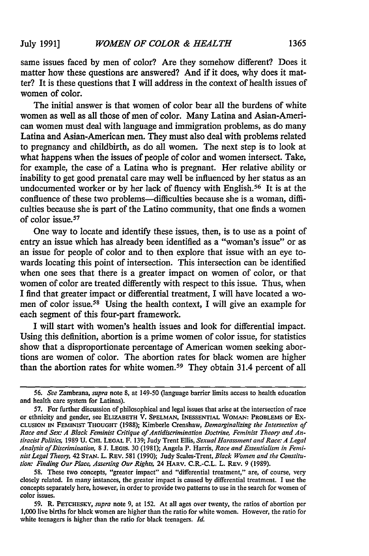same issues faced by men of color? Are they somehow different? Does it matter how these questions are answered? And if it does, why does it matter? It is these questions that I will address in the context of health issues of women of color.

The initial answer is that women of color bear all the burdens of white women as well as all those of men of color. Many Latina and Asian-American women must deal with language and immigration problems, as do many Latina and Asian-American men. They must also deal with problems related to pregnancy and childbirth, as do all women. The next step is to look at what happens when the issues of people of color and women intersect. Take, for example, the case of a Latina who is pregnant. Her relative ability or inability to get good prenatal care may well be influenced by her status as an undocumented worker or by her lack of fluency with English.<sup>56</sup> It is at the confluence of these two problems-difficulties because she is a woman, difficulties because she is part of the Latino community, that one finds a women of color issue.57

One way to locate and identify these issues, then, is to use as a point of entry an issue which has already been identified as a "woman's issue" or as an issue for people of color and to then explore that issue with an eye towards locating this point of intersection. This intersection can be identified when one sees that there is a greater impact on women of color, or that women of color are treated differently with respect to this issue. Thus, when I find that greater impact or differential treatment, I will have located a women of color issue.<sup>58</sup> Using the health context, I will give an example for each segment of this four-part framework.

I will start with women's health issues and look for differential impact. Using this definition, abortion is a prime women of color issue, for statistics show that a disproportionate percentage of American women seeking abortions are women of color. The abortion rates for black women are higher than the abortion rates for white women.59 They obtain 31.4 percent of all

*<sup>56.</sup> See* Zambrana, *supra* note 8, at 149-50 (language barrier limits access to health education and health care system for Latinas).

<sup>57.</sup> For further discussion of philosophical and legal issues that arise at the intersection of race or ethnicity and gender, see ELIZABETH V. **SPELMAN, INESSENTIAL** WOMAN: PROBLEMS **OF** EX-**CLUSION IN FEMINIST THOUGHT** (1988); Kimberle Crenshaw, *Demarginalizing the Intersection of Race and Sex: A Black Feminist Critique of Antidiscrimination Doctrine, Feminist Theory and Antiracist Politics,* 1989 **U. CH. LEGAL** F. 139; Judy Trent Ellis, *Sexual Harassment and Race: A Legal Analysis of Discrimination,* 8 J. LEGIS. 30 (1981); Angela P. Harris, *Race and Essentialism in Feminist Legal Theory,* 42 **STAN.** L. REV. 581 (1990); Judy Scales-Trent, *Black Women and the Constitution: Finding Our Place, Asserting Our Rights,* 24 HARV. C.R.-C.L. L. REV. 9 (1989).

<sup>58.</sup> These two concepts, "greater impact" and "differential treatment," are, of course, very closely related. In many instances, the greater impact is caused by differential treatment. I use the concepts separately here, however, in order to provide two patterns to use in the search for women of color issues.

<sup>59.</sup> R. PETCHESKY, *supra* note 9, at 152. At all ages over twenty, the ratios of abortion per 1,000 live births for black women are higher than the ratio for white women. However, the ratio for white teenagers is higher than the ratio for black teenagers. *Id.*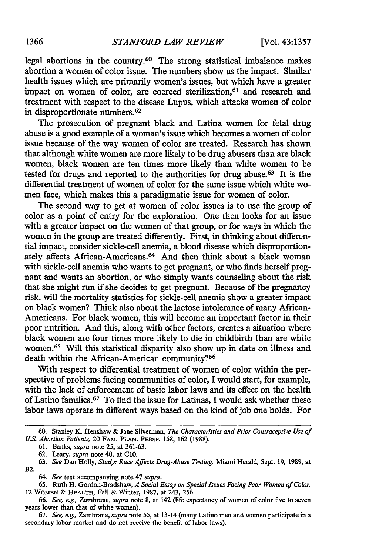legal abortions in the country.60 The strong statistical imbalance makes abortion a women of color issue. The numbers show us the impact. Similar health issues which are primarily women's issues, but which have a greater impact on women of color, are coerced sterilization, 61 and research and treatment with respect to the disease Lupus, which attacks women of color in disproportionate numbers.<sup>62</sup>

The prosecution of pregnant black and Latina women for fetal drug abuse is a good example of a woman's issue which becomes a women of color issue because of the way women of color are treated. Research has shown that although white women are more likely to be drug abusers than are black women, black women are ten times more likely than white women to be tested for drugs and reported to the authorities for drug abuse.63 It is the differential treatment of women of color for the same issue which white women face, which makes this a paradigmatic issue for women of color.

The second way to get at women of color issues is to use the group of color as a point of entry for the exploration. One then looks for an issue with a greater impact on the women of that group, or for ways in which the women in the group are treated differently. First, in thinking about differential impact, consider sickle-cell anemia, a blood disease which disproportionately affects African-Americans. 64 And then think about a black woman with sickle-cell anemia who wants to get pregnant, or who finds herself pregnant and wants an abortion, or who simply wants counseling about the risk that she might run if she decides to get pregnant. Because of the pregnancy risk, will the mortality statistics for sickle-cell anemia show a greater impact on black women? Think also about the lactose intolerance of many African-Americans. For black women, this will become an important factor in their poor nutrition. And this, along with other factors, creates a situation where black women are four times more likely to die in childbirth than are white women.65 Will this statistical disparity also show up in data on illness and death within the African-American community?<sup>66</sup>

With respect to differential treatment of women of color within the perspective of problems facing communities of color, I would start, for example, with the lack of enforcement of basic labor laws and its effect on the health of Latino families.67 To find the issue for Latinas, I would ask whether these labor laws operate in different ways based on the kind of job one holds. For

61. Banks, *supra* note 25, at 361-63.

**<sup>60.</sup>** Stanley K. Henshaw & Jane Silverman, *The Characteristics and Prior Contraceptive Use of U.S. Abortion Patients,* 20 FAM. PLAN. PERSP. 158, 162 (1988).

<sup>62.</sup> Leary, *supra* note 40, at **C10.**

<sup>63.</sup> *See* Dan Holly, *Study: Race Affects Drug-Abuse Testing,* Miami Herald, Sept. 19, 1989, at B2.

*<sup>64.</sup> See* text accompanying note 47 *supra.*

**<sup>65.</sup>** Ruth H. Gordon-Bradshaw, *A Social Essay on Special Issues Facing Poor Women of Color,* 12 WOMEN & HEALTH, Fall & Winter, 1987, at 243, 256.

<sup>66.</sup> *See, e.g.,* Zambrana, *supra* note 8, at 142 (life expectancy of women of color five to seven years lower than that of white women).

<sup>67.</sup> *See, e.g.,* Zambrana, *supra* note 55, at 13-14 (many Latino men and women participate in a secondary labor market and do not receive the benefit of labor laws).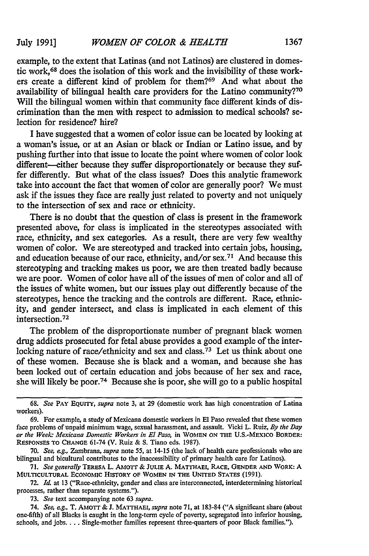example, to the extent that Latinas (and not Latinos) are clustered in domestic work,<sup>68</sup> does the isolation of this work and the invisibility of these workers create a different kind of problem for them?<sup>69</sup> And what about the availability of bilingual health care providers for the Latino community?<sup>70</sup> Will the bilingual women within that community face different kinds of discrimination than the men with respect to admission to medical schools? selection for residence? hire?

I have suggested that a women of color issue can be located by looking at a woman's issue, or at an Asian or black or Indian or Latino issue, and by pushing further into that issue to locate the point where women of color look different--either because they suffer disproportionately or because they suffer differently. But what of the class issues? Does this analytic framework take into account the fact that women of color are generally poor? We must ask if the issues they face are really just related to poverty and not uniquely to the intersection of sex and race or ethnicity.

There is no doubt that the question of class is present in the framework presented above, for class is implicated in the stereotypes associated with race, ethnicity, and sex categories. As a result, there are very few wealthy women of color. We are stereotyped and tracked into certain jobs, housing, and education because of our race, ethnicity, and/or sex.71 And because this stereotyping and tracking makes us poor, we are then treated badly because we are poor. Women of color have all of the issues of men of color and all of the issues of white women, but our issues play out differently because of the stereotypes, hence the tracking and the controls are different. Race, ethnicity, and gender intersect, and class is implicated in each element of this intersection.<sup>72</sup>

The problem of the disproportionate number of pregnant black women drug addicts prosecuted for fetal abuse provides a good example of the interlocking nature of race/ethnicity and sex and class.<sup>73</sup> Let us think about one of these women. Because she is black and a woman, and because she has been locked out of certain education and jobs because of her sex and race, she will likely be poor.74 Because she is poor, she will go to a public hospital

72. *Id.* at 13 ("Race-ethnicity, gender and class are interconnected, interdetermining historical processes, rather than separate systems.").

73. *See* text accompanying note 63 *supra.*

74. *See, eg.,* T. **AMOT-r** & J. **MATrHAEI,** *supra* note 71, at 183-84 ("A significant share (about one-fifth) of all Blacks is caught in the long-term cycle of poverty, segregated into inferior housing, schools, and jobs.... Single-mother families represent three-quarters of poor Black families.").

*<sup>68.</sup> See* **PAY EQUITY,** *supra* note **3,** at **29** (domestic work has high concentration of Latina workers).

<sup>69.</sup> For example, a study of Mexicana domestic workers in El Paso revealed that these women face problems of unpaid minimum wage, sexual harassment, and assault. Vicki L. Ruiz, *By the Day or the Week- Mexicana Domestic Workers in El Paso,* in **WOMEN ON THE** U.S.-MExICO **BORDER:** RESPONSES **TO CHANGE** 61-74 (V. Ruiz & **S.** Tiano eds. 1987).

<sup>70.</sup> *See, eg.,* Zambrana, *supra* note *55,* at 14-15 (the lack of health care professionals who are bilingual and bicultural contributes to the inaccessibility of primary health care for Latinos).

<sup>71.</sup> *See generally* **TERESA** L. AMOTr & **JULIE A. MATTHAEI, RACE, GENDER AND** WORK: A **MULTICULTURAL** ECONOMIC **HISTORY** OF WOMEN **IN THE UNITED STATES** (1991).